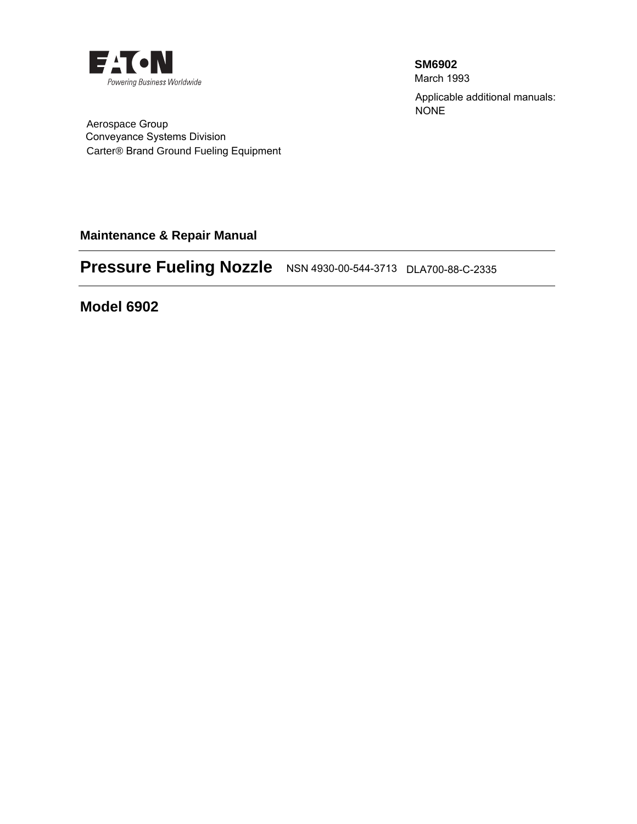

**SM6902** March 1993 Applicable additional manuals: NONE

Conveyance Systems Division Aerospace Group Carter® Brand Ground Fueling Equipment

**Maintenance & Repair Manual** 

# **Pressure Fueling Nozzle** NSN 4930-00-544-3713 DLA700-88-C-2335

**Model 6902**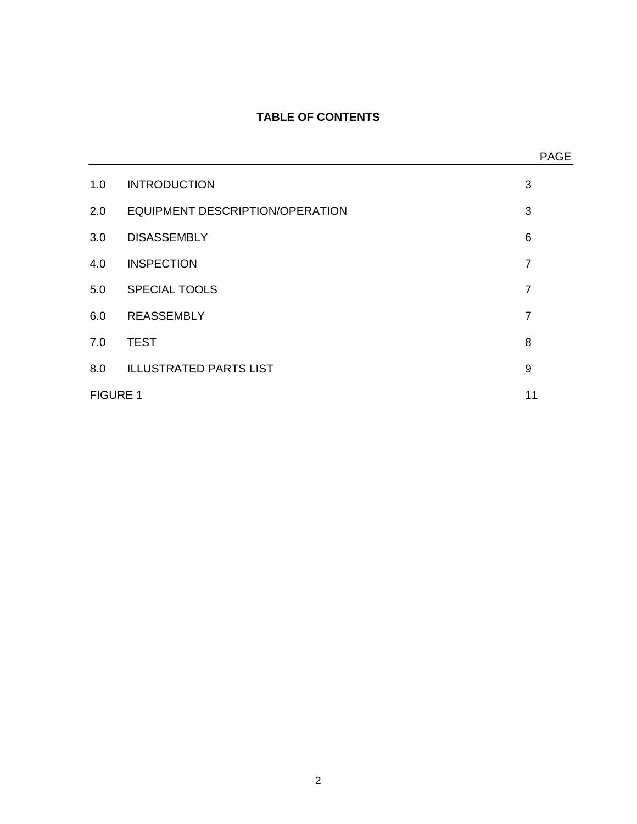## **TABLE OF CONTENTS**

|                 |                                 | <b>PAGE</b>    |
|-----------------|---------------------------------|----------------|
| 1.0             | <b>INTRODUCTION</b>             | 3              |
| 2.0             | EQUIPMENT DESCRIPTION/OPERATION | 3              |
| 3.0             | <b>DISASSEMBLY</b>              | 6              |
| 4.0             | <b>INSPECTION</b>               | $\overline{7}$ |
| 5.0             | <b>SPECIAL TOOLS</b>            | $\overline{7}$ |
| 6.0             | <b>REASSEMBLY</b>               | $\overline{7}$ |
| 7.0             | <b>TEST</b>                     | 8              |
| 8.0             | <b>ILLUSTRATED PARTS LIST</b>   | 9              |
| <b>FIGURE 1</b> |                                 |                |
|                 |                                 |                |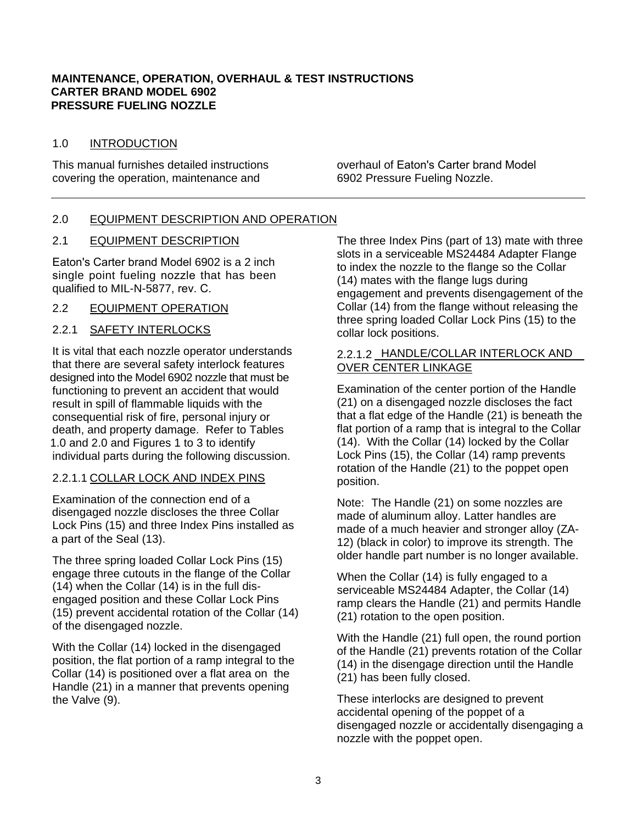#### **MAINTENANCE, OPERATION, OVERHAUL & TEST INSTRUCTIONS CARTER BRAND MODEL 6902 PRESSURE FUELING NOZZLE**

#### 1.0 INTRODUCTION

This manual furnishes detailed instructions covering the operation, maintenance and

overhaul of Eaton's Carter brand Model 6902 Pressure Fueling Nozzle.

## 2.0 EQUIPMENT DESCRIPTION AND OPERATION

#### 2.1 EQUIPMENT DESCRIPTION

Eaton's Carter brand Model 6902 is a 2 inch single point fueling nozzle that has been qualified to MIL-N-5877, rev. C.

#### 2.2 EQUIPMENT OPERATION

## 2.2.1 SAFETY INTERLOCKS

It is vital that each nozzle operator understands that there are several safety interlock features designed into the Model 6902 nozzle that must be functioning to prevent an accident that would result in spill of flammable liquids with the consequential risk of fire, personal injury or death, and property damage. Refer to Tables 1.0 and 2.0 and Figures 1 to 3 to identify individual parts during the following discussion.

## 2.2.1.1 COLLAR LOCK AND INDEX PINS

Examination of the connection end of a disengaged nozzle discloses the three Collar Lock Pins (15) and three Index Pins installed as a part of the Seal (13).

The three spring loaded Collar Lock Pins (15) engage three cutouts in the flange of the Collar (14) when the Collar (14) is in the full disengaged position and these Collar Lock Pins (15) prevent accidental rotation of the Collar (14) of the disengaged nozzle.

With the Collar (14) locked in the disengaged position, the flat portion of a ramp integral to the Collar (14) is positioned over a flat area on the Handle (21) in a manner that prevents opening the Valve (9).

The three Index Pins (part of 13) mate with three slots in a serviceable MS24484 Adapter Flange to index the nozzle to the flange so the Collar (14) mates with the flange lugs during engagement and prevents disengagement of the Collar (14) from the flange without releasing the three spring loaded Collar Lock Pins (15) to the collar lock positions.

## 2.2.1.2 HANDLE/COLLAR INTERLOCK AND OVER CENTER LINKAGE

Examination of the center portion of the Handle (21) on a disengaged nozzle discloses the fact that a flat edge of the Handle (21) is beneath the flat portion of a ramp that is integral to the Collar (14). With the Collar (14) locked by the Collar Lock Pins (15), the Collar (14) ramp prevents rotation of the Handle (21) to the poppet open position.

Note: The Handle (21) on some nozzles are made of aluminum alloy. Latter handles are made of a much heavier and stronger alloy (ZA-12) (black in color) to improve its strength. The older handle part number is no longer available.

When the Collar (14) is fully engaged to a serviceable MS24484 Adapter, the Collar (14) ramp clears the Handle (21) and permits Handle (21) rotation to the open position.

With the Handle (21) full open, the round portion of the Handle (21) prevents rotation of the Collar (14) in the disengage direction until the Handle (21) has been fully closed.

These interlocks are designed to prevent accidental opening of the poppet of a disengaged nozzle or accidentally disengaging a nozzle with the poppet open.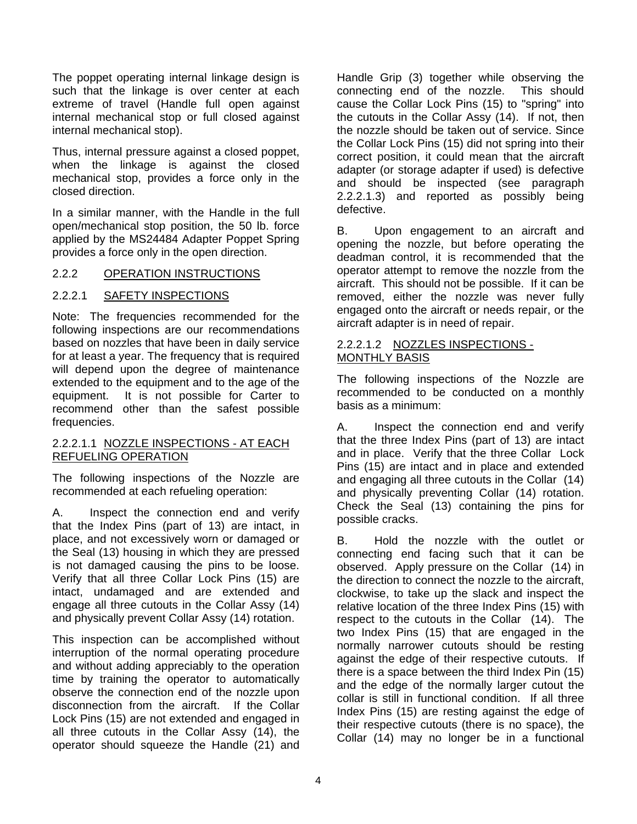The poppet operating internal linkage design is such that the linkage is over center at each extreme of travel (Handle full open against internal mechanical stop or full closed against internal mechanical stop).

Thus, internal pressure against a closed poppet, when the linkage is against the closed mechanical stop, provides a force only in the closed direction.

In a similar manner, with the Handle in the full open/mechanical stop position, the 50 lb. force applied by the MS24484 Adapter Poppet Spring provides a force only in the open direction.

## 2.2.2 OPERATION INSTRUCTIONS

## 2.2.2.1 SAFETY INSPECTIONS

Note: The frequencies recommended for the following inspections are our recommendations based on nozzles that have been in daily service for at least a year. The frequency that is required will depend upon the degree of maintenance extended to the equipment and to the age of the equipment. It is not possible for Carter to recommend other than the safest possible frequencies.

#### 2.2.2.1.1 NOZZLE INSPECTIONS - AT EACH REFUELING OPERATION

The following inspections of the Nozzle are recommended at each refueling operation:

A. Inspect the connection end and verify that the Index Pins (part of 13) are intact, in place, and not excessively worn or damaged or the Seal (13) housing in which they are pressed is not damaged causing the pins to be loose. Verify that all three Collar Lock Pins (15) are intact, undamaged and are extended and engage all three cutouts in the Collar Assy (14) and physically prevent Collar Assy (14) rotation.

This inspection can be accomplished without interruption of the normal operating procedure and without adding appreciably to the operation time by training the operator to automatically observe the connection end of the nozzle upon disconnection from the aircraft. If the Collar Lock Pins (15) are not extended and engaged in all three cutouts in the Collar Assy (14), the operator should squeeze the Handle (21) and Handle Grip (3) together while observing the connecting end of the nozzle. This should cause the Collar Lock Pins (15) to "spring" into the cutouts in the Collar Assy (14). If not, then the nozzle should be taken out of service. Since the Collar Lock Pins (15) did not spring into their correct position, it could mean that the aircraft adapter (or storage adapter if used) is defective and should be inspected (see paragraph 2.2.2.1.3) and reported as possibly being defective.

B. Upon engagement to an aircraft and opening the nozzle, but before operating the deadman control, it is recommended that the operator attempt to remove the nozzle from the aircraft. This should not be possible. If it can be removed, either the nozzle was never fully engaged onto the aircraft or needs repair, or the aircraft adapter is in need of repair.

#### 2.2.2.1.2 NOZZLES INSPECTIONS - MONTHLY BASIS

The following inspections of the Nozzle are recommended to be conducted on a monthly basis as a minimum:

A. Inspect the connection end and verify that the three Index Pins (part of 13) are intact and in place. Verify that the three Collar Lock Pins (15) are intact and in place and extended and engaging all three cutouts in the Collar (14) and physically preventing Collar (14) rotation. Check the Seal (13) containing the pins for possible cracks.

B. Hold the nozzle with the outlet or connecting end facing such that it can be observed. Apply pressure on the Collar (14) in the direction to connect the nozzle to the aircraft, clockwise, to take up the slack and inspect the relative location of the three Index Pins (15) with respect to the cutouts in the Collar (14). The two Index Pins (15) that are engaged in the normally narrower cutouts should be resting against the edge of their respective cutouts. If there is a space between the third Index Pin (15) and the edge of the normally larger cutout the collar is still in functional condition. If all three Index Pins (15) are resting against the edge of their respective cutouts (there is no space), the Collar (14) may no longer be in a functional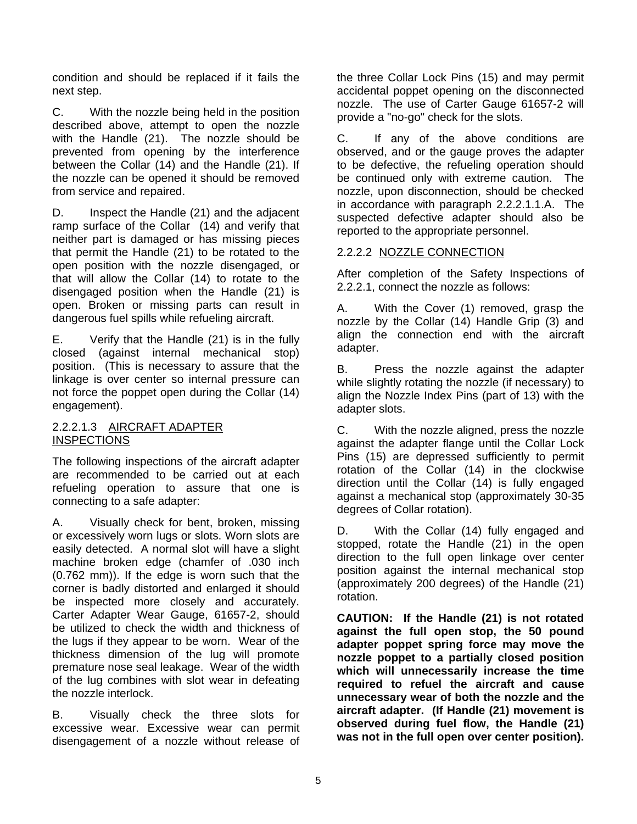condition and should be replaced if it fails the next step.

C. With the nozzle being held in the position described above, attempt to open the nozzle with the Handle (21). The nozzle should be prevented from opening by the interference between the Collar (14) and the Handle (21). If the nozzle can be opened it should be removed from service and repaired.

D. Inspect the Handle (21) and the adjacent ramp surface of the Collar (14) and verify that neither part is damaged or has missing pieces that permit the Handle (21) to be rotated to the open position with the nozzle disengaged, or that will allow the Collar (14) to rotate to the disengaged position when the Handle (21) is open. Broken or missing parts can result in dangerous fuel spills while refueling aircraft.

E. Verify that the Handle (21) is in the fully closed (against internal mechanical stop) position. (This is necessary to assure that the linkage is over center so internal pressure can not force the poppet open during the Collar (14) engagement).

## 2.2.2.1.3 AIRCRAFT ADAPTER **INSPECTIONS**

The following inspections of the aircraft adapter are recommended to be carried out at each refueling operation to assure that one is connecting to a safe adapter:

A. Visually check for bent, broken, missing or excessively worn lugs or slots. Worn slots are easily detected. A normal slot will have a slight machine broken edge (chamfer of .030 inch (0.762 mm)). If the edge is worn such that the corner is badly distorted and enlarged it should be inspected more closely and accurately. Carter Adapter Wear Gauge, 61657-2, should be utilized to check the width and thickness of the lugs if they appear to be worn. Wear of the thickness dimension of the lug will promote premature nose seal leakage. Wear of the width of the lug combines with slot wear in defeating the nozzle interlock.

B. Visually check the three slots for excessive wear. Excessive wear can permit disengagement of a nozzle without release of the three Collar Lock Pins (15) and may permit accidental poppet opening on the disconnected nozzle. The use of Carter Gauge 61657-2 will provide a "no-go" check for the slots.

C. If any of the above conditions are observed, and or the gauge proves the adapter to be defective, the refueling operation should be continued only with extreme caution. The nozzle, upon disconnection, should be checked in accordance with paragraph 2.2.2.1.1.A. The suspected defective adapter should also be reported to the appropriate personnel.

## 2.2.2.2 NOZZLE CONNECTION

After completion of the Safety Inspections of 2.2.2.1, connect the nozzle as follows:

A. With the Cover (1) removed, grasp the nozzle by the Collar (14) Handle Grip (3) and align the connection end with the aircraft adapter.

B. Press the nozzle against the adapter while slightly rotating the nozzle (if necessary) to align the Nozzle Index Pins (part of 13) with the adapter slots.

C. With the nozzle aligned, press the nozzle against the adapter flange until the Collar Lock Pins (15) are depressed sufficiently to permit rotation of the Collar (14) in the clockwise direction until the Collar (14) is fully engaged against a mechanical stop (approximately 30-35 degrees of Collar rotation).

D. With the Collar (14) fully engaged and stopped, rotate the Handle (21) in the open direction to the full open linkage over center position against the internal mechanical stop (approximately 200 degrees) of the Handle (21) rotation.

**CAUTION: If the Handle (21) is not rotated against the full open stop, the 50 pound adapter poppet spring force may move the nozzle poppet to a partially closed position which will unnecessarily increase the time required to refuel the aircraft and cause unnecessary wear of both the nozzle and the aircraft adapter. (If Handle (21) movement is observed during fuel flow, the Handle (21) was not in the full open over center position).**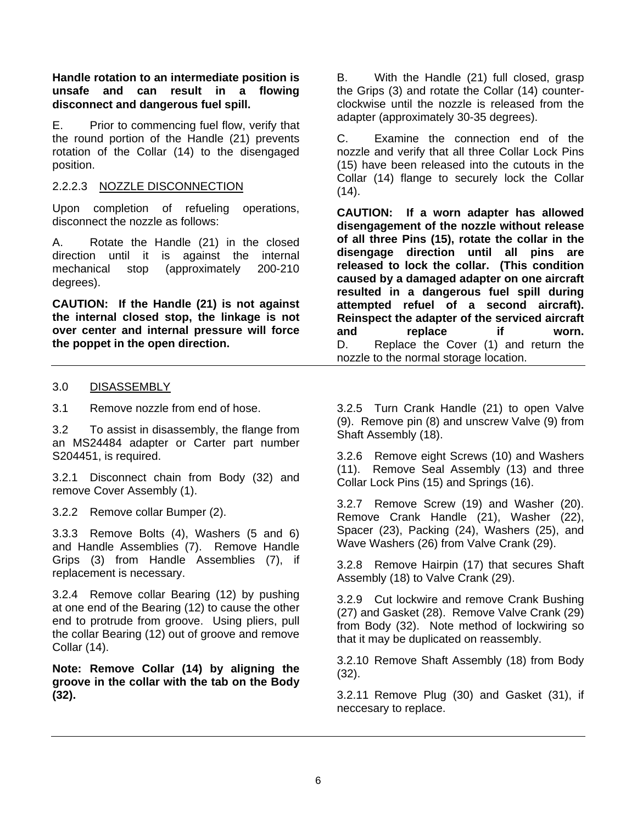**Handle rotation to an intermediate position is unsafe and can result in a flowing disconnect and dangerous fuel spill.** 

E. Prior to commencing fuel flow, verify that the round portion of the Handle (21) prevents rotation of the Collar (14) to the disengaged position.

#### 2.2.2.3 NOZZLE DISCONNECTION

Upon completion of refueling operations, disconnect the nozzle as follows:

A. Rotate the Handle (21) in the closed direction until it is against the internal mechanical stop (approximately 200-210 degrees).

**CAUTION: If the Handle (21) is not against the internal closed stop, the linkage is not over center and internal pressure will force the poppet in the open direction.** 

B. With the Handle (21) full closed, grasp the Grips (3) and rotate the Collar (14) counterclockwise until the nozzle is released from the adapter (approximately 30-35 degrees).

C. Examine the connection end of the nozzle and verify that all three Collar Lock Pins (15) have been released into the cutouts in the Collar (14) flange to securely lock the Collar  $(14)$ .

**CAUTION: If a worn adapter has allowed disengagement of the nozzle without release of all three Pins (15), rotate the collar in the disengage direction until all pins are released to lock the collar. (This condition caused by a damaged adapter on one aircraft resulted in a dangerous fuel spill during attempted refuel of a second aircraft). Reinspect the adapter of the serviced aircraft and replace if worn.**  D. Replace the Cover (1) and return the nozzle to the normal storage location.

#### 3.0 DISASSEMBLY

3.1 Remove nozzle from end of hose.

3.2 To assist in disassembly, the flange from an MS24484 adapter or Carter part number S204451, is required.

3.2.1 Disconnect chain from Body (32) and remove Cover Assembly (1).

3.2.2 Remove collar Bumper (2).

3.3.3 Remove Bolts (4), Washers (5 and 6) and Handle Assemblies (7). Remove Handle Grips (3) from Handle Assemblies (7), if replacement is necessary.

3.2.4 Remove collar Bearing (12) by pushing at one end of the Bearing (12) to cause the other end to protrude from groove. Using pliers, pull the collar Bearing (12) out of groove and remove Collar (14).

**Note: Remove Collar (14) by aligning the groove in the collar with the tab on the Body (32).** 

3.2.5 Turn Crank Handle (21) to open Valve (9). Remove pin (8) and unscrew Valve (9) from Shaft Assembly (18).

3.2.6 Remove eight Screws (10) and Washers (11). Remove Seal Assembly (13) and three Collar Lock Pins (15) and Springs (16).

3.2.7 Remove Screw (19) and Washer (20). Remove Crank Handle (21), Washer (22), Spacer (23), Packing (24), Washers (25), and Wave Washers (26) from Valve Crank (29).

3.2.8 Remove Hairpin (17) that secures Shaft Assembly (18) to Valve Crank (29).

3.2.9 Cut lockwire and remove Crank Bushing (27) and Gasket (28). Remove Valve Crank (29) from Body (32). Note method of lockwiring so that it may be duplicated on reassembly.

3.2.10 Remove Shaft Assembly (18) from Body (32).

3.2.11 Remove Plug (30) and Gasket (31), if neccesary to replace.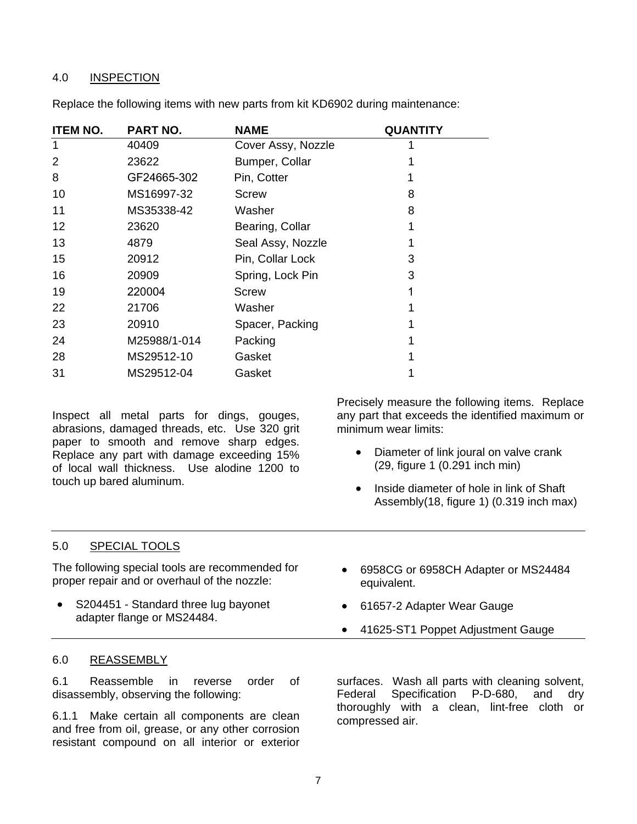#### 4.0 INSPECTION

| <b>ITEM NO.</b> | PART NO.     | <b>NAME</b>        | <b>QUANTITY</b> |
|-----------------|--------------|--------------------|-----------------|
| 1               | 40409        | Cover Assy, Nozzle |                 |
| 2               | 23622        | Bumper, Collar     |                 |
| 8               | GF24665-302  | Pin, Cotter        |                 |
| 10              | MS16997-32   | <b>Screw</b>       | 8               |
| 11              | MS35338-42   | Washer             | 8               |
| 12              | 23620        | Bearing, Collar    |                 |
| 13              | 4879         | Seal Assy, Nozzle  |                 |
| 15              | 20912        | Pin, Collar Lock   | 3               |
| 16              | 20909        | Spring, Lock Pin   | 3               |
| 19              | 220004       | Screw              |                 |
| 22              | 21706        | Washer             |                 |
| 23              | 20910        | Spacer, Packing    |                 |
| 24              | M25988/1-014 | Packing            |                 |
| 28              | MS29512-10   | Gasket             |                 |
| 31              | MS29512-04   | Gasket             |                 |

Replace the following items with new parts from kit KD6902 during maintenance:

Inspect all metal parts for dings, gouges, abrasions, damaged threads, etc. Use 320 grit paper to smooth and remove sharp edges. Replace any part with damage exceeding 15% of local wall thickness. Use alodine 1200 to touch up bared aluminum.

Precisely measure the following items. Replace any part that exceeds the identified maximum or minimum wear limits:

- Diameter of link joural on valve crank (29, figure 1 (0.291 inch min)
- Inside diameter of hole in link of Shaft Assembly(18, figure 1) (0.319 inch max)

## 5.0 SPECIAL TOOLS

The following special tools are recommended for proper repair and or overhaul of the nozzle:

- S204451 Standard three lug bayonet adapter flange or MS24484.
- 6958CG or 6958CH Adapter or MS24484 equivalent.
- 61657-2 Adapter Wear Gauge
- 41625-ST1 Poppet Adjustment Gauge

## 6.0 REASSEMBLY

6.1 Reassemble in reverse order of disassembly, observing the following:

6.1.1 Make certain all components are clean and free from oil, grease, or any other corrosion resistant compound on all interior or exterior

surfaces. Wash all parts with cleaning solvent, Federal Specification P-D-680, and dry thoroughly with a clean, lint-free cloth or compressed air.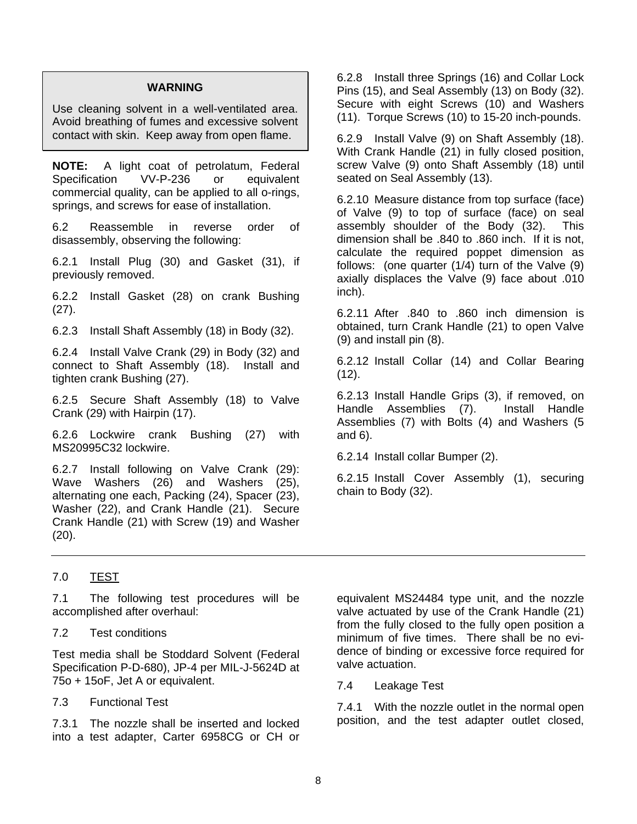#### **WARNING**

Use cleaning solvent in a well-ventilated area. Avoid breathing of fumes and excessive solvent contact with skin. Keep away from open flame.

**NOTE:** A light coat of petrolatum, Federal Specification VV-P-236 or equivalent commercial quality, can be applied to all o-rings, springs, and screws for ease of installation.

6.2 Reassemble in reverse order of disassembly, observing the following:

6.2.1 Install Plug (30) and Gasket (31), if previously removed.

6.2.2 Install Gasket (28) on crank Bushing (27).

6.2.3 Install Shaft Assembly (18) in Body (32).

6.2.4 Install Valve Crank (29) in Body (32) and connect to Shaft Assembly (18). Install and tighten crank Bushing (27).

6.2.5 Secure Shaft Assembly (18) to Valve Crank (29) with Hairpin (17).

6.2.6 Lockwire crank Bushing (27) with MS20995C32 lockwire.

6.2.7 Install following on Valve Crank (29): Wave Washers (26) and Washers (25), alternating one each, Packing (24), Spacer (23), Washer (22), and Crank Handle (21). Secure Crank Handle (21) with Screw (19) and Washer (20).

6.2.8 Install three Springs (16) and Collar Lock Pins (15), and Seal Assembly (13) on Body (32). Secure with eight Screws (10) and Washers (11). Torque Screws (10) to 15-20 inch-pounds.

6.2.9 Install Valve (9) on Shaft Assembly (18). With Crank Handle (21) in fully closed position, screw Valve (9) onto Shaft Assembly (18) until seated on Seal Assembly (13).

6.2.10 Measure distance from top surface (face) of Valve (9) to top of surface (face) on seal assembly shoulder of the Body (32). This dimension shall be .840 to .860 inch. If it is not, calculate the required poppet dimension as follows: (one quarter (1/4) turn of the Valve (9) axially displaces the Valve (9) face about .010 inch).

6.2.11 After .840 to .860 inch dimension is obtained, turn Crank Handle (21) to open Valve (9) and install pin (8).

6.2.12 Install Collar (14) and Collar Bearing (12).

6.2.13 Install Handle Grips (3), if removed, on Handle Assemblies (7). Install Handle Assemblies (7) with Bolts (4) and Washers (5 and 6).

6.2.14 Install collar Bumper (2).

6.2.15 Install Cover Assembly (1), securing chain to Body (32).

## 7.0 TEST

7.1 The following test procedures will be accomplished after overhaul:

## 7.2 Test conditions

Test media shall be Stoddard Solvent (Federal Specification P-D-680), JP-4 per MIL-J-5624D at 75o + 15oF, Jet A or equivalent.

## 7.3 Functional Test

7.3.1 The nozzle shall be inserted and locked into a test adapter, Carter 6958CG or CH or equivalent MS24484 type unit, and the nozzle valve actuated by use of the Crank Handle (21) from the fully closed to the fully open position a minimum of five times. There shall be no evidence of binding or excessive force required for valve actuation.

7.4 Leakage Test

7.4.1 With the nozzle outlet in the normal open position, and the test adapter outlet closed,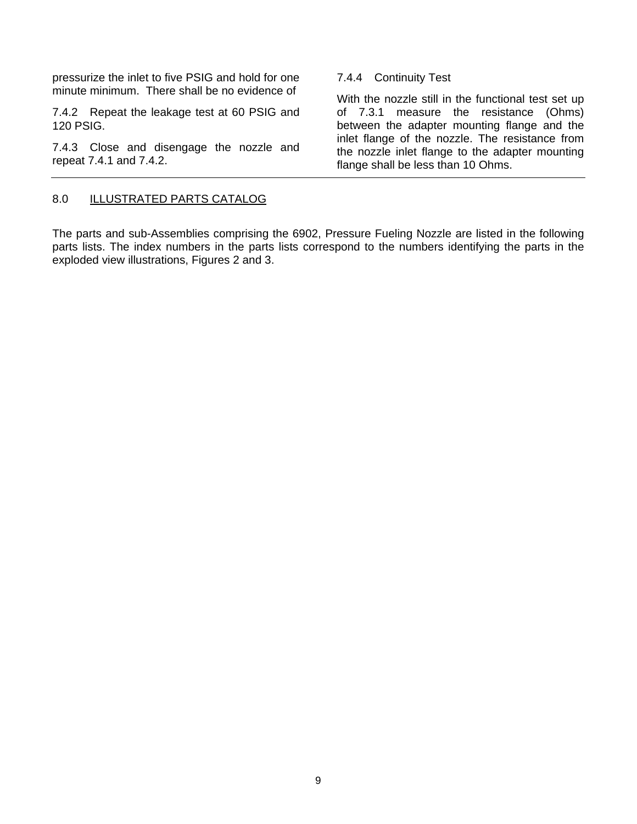pressurize the inlet to five PSIG and hold for one minute minimum. There shall be no evidence of

7.4.2 Repeat the leakage test at 60 PSIG and 120 PSIG.

7.4.3 Close and disengage the nozzle and repeat 7.4.1 and 7.4.2.

#### 7.4.4 Continuity Test

With the nozzle still in the functional test set up of 7.3.1 measure the resistance (Ohms) between the adapter mounting flange and the inlet flange of the nozzle. The resistance from the nozzle inlet flange to the adapter mounting flange shall be less than 10 Ohms.

#### 8.0 ILLUSTRATED PARTS CATALOG

The parts and sub-Assemblies comprising the 6902, Pressure Fueling Nozzle are listed in the following parts lists. The index numbers in the parts lists correspond to the numbers identifying the parts in the exploded view illustrations, Figures 2 and 3.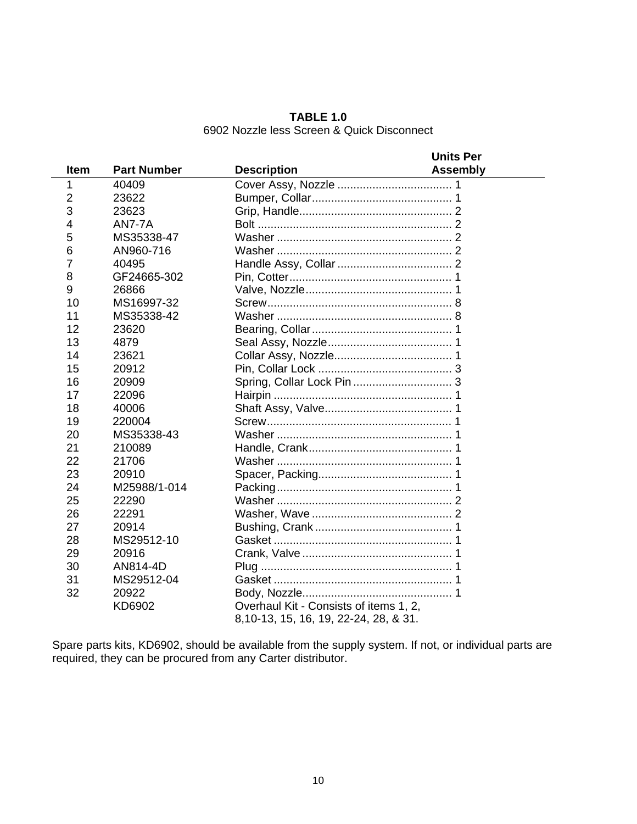**TABLE 1.0**  6902 Nozzle less Screen & Quick Disconnect

|                |                    | <b>Units Per</b>                       |  |
|----------------|--------------------|----------------------------------------|--|
| <b>Item</b>    | <b>Part Number</b> | <b>Description</b><br><b>Assembly</b>  |  |
| 1              | 40409              |                                        |  |
| $\overline{2}$ | 23622              |                                        |  |
| 3              | 23623              |                                        |  |
| 4              | <b>AN7-7A</b>      |                                        |  |
| 5              | MS35338-47         |                                        |  |
| 6              | AN960-716          |                                        |  |
| 7              | 40495              |                                        |  |
| 8              | GF24665-302        |                                        |  |
| 9              | 26866              |                                        |  |
| 10             | MS16997-32         |                                        |  |
| 11             | MS35338-42         |                                        |  |
| 12             | 23620              |                                        |  |
| 13             | 4879               |                                        |  |
| 14             | 23621              |                                        |  |
| 15             | 20912              |                                        |  |
| 16             | 20909              |                                        |  |
| 17             | 22096              |                                        |  |
| 18             | 40006              |                                        |  |
| 19             | 220004             |                                        |  |
| 20             | MS35338-43         |                                        |  |
| 21             | 210089             |                                        |  |
| 22             | 21706              |                                        |  |
| 23             | 20910              |                                        |  |
| 24             | M25988/1-014       |                                        |  |
| 25             | 22290              |                                        |  |
| 26             | 22291              |                                        |  |
| 27             | 20914              |                                        |  |
| 28             | MS29512-10         |                                        |  |
| 29             | 20916              |                                        |  |
| 30             | AN814-4D           |                                        |  |
| 31             | MS29512-04         |                                        |  |
| 32             | 20922              |                                        |  |
|                | KD6902             | Overhaul Kit - Consists of items 1, 2, |  |
|                |                    | 8, 10-13, 15, 16, 19, 22-24, 28, & 31. |  |

Spare parts kits, KD6902, should be available from the supply system. If not, or individual parts are required, they can be procured from any Carter distributor.